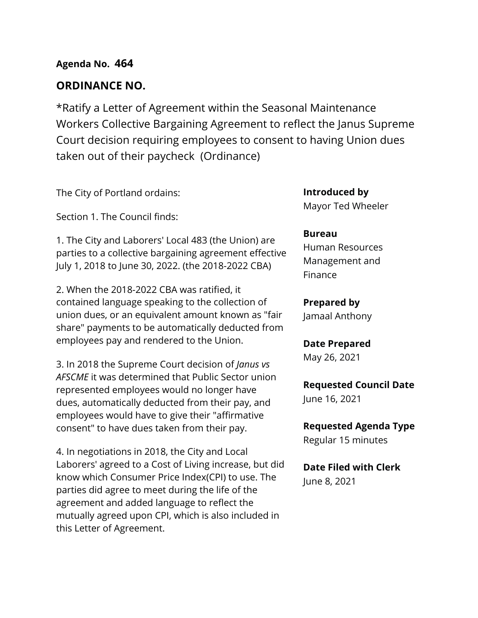## **Agenda No. 464**

### **ORDINANCE NO.**

\*Ratify a Letter of Agreement within the Seasonal Maintenance Workers Collective Bargaining Agreement to reflect the Janus Supreme Court decision requiring employees to consent to having Union dues taken out of their paycheck (Ordinance)

The City of Portland ordains:

Section 1. The Council finds:

1. The City and Laborers' Local 483 (the Union) are parties to a collective bargaining agreement effective July 1, 2018 to June 30, 2022. (the 2018-2022 CBA)

2. When the 2018-2022 CBA was ratified, it contained language speaking to the collection of union dues, or an equivalent amount known as "fair share" payments to be automatically deducted from employees pay and rendered to the Union.

3. In 2018 the Supreme Court decision of *Janus vs AFSCME* it was determined that Public Sector union represented employees would no longer have dues, automatically deducted from their pay, and employees would have to give their "affirmative consent" to have dues taken from their pay.

4. In negotiations in 2018, the City and Local Laborers' agreed to a Cost of Living increase, but did know which Consumer Price Index(CPI) to use. The parties did agree to meet during the life of the agreement and added language to reflect the mutually agreed upon CPI, which is also included in this Letter of Agreement.

**Introduced by** Mayor Ted Wheeler

#### **Bureau**

Human Resources Management and Finance

**Prepared by** Jamaal Anthony

**Date Prepared** May 26, 2021

**Requested Council Date**

June 16, 2021

**Requested Agenda Type** Regular 15 minutes

**Date Filed with Clerk**  June 8, 2021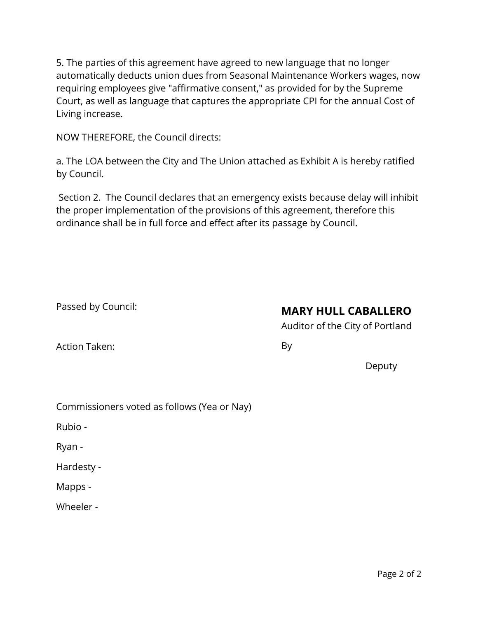5. The parties of this agreement have agreed to new language that no longer automatically deducts union dues from Seasonal Maintenance Workers wages, now requiring employees give "affirmative consent," as provided for by the Supreme Court, as well as language that captures the appropriate CPI for the annual Cost of Living increase.

NOW THEREFORE, the Council directs:

a. The LOA between the City and The Union attached as Exhibit A is hereby ratified by Council.

Section 2. The Council declares that an emergency exists because delay will inhibit the proper implementation of the provisions of this agreement, therefore this ordinance shall be in full force and effect after its passage by Council.

Passed by Council:

# **MARY HULL CABALLERO**

Auditor of the City of Portland

Action Taken:

By

Deputy

Commissioners voted as follows (Yea or Nay)

Rubio -

Ryan -

Hardesty -

Mapps -

Wheeler -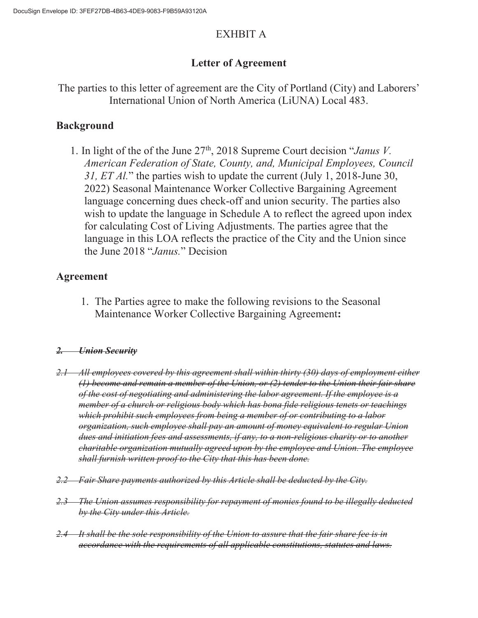## EXHBIT A

# **Letter of Agreement**

## The parties to this letter of agreement are the City of Portland (City) and Laborers' International Union of North America (LiUNA) Local 483.

# **Background**

1. In light of the of the June 27th, 2018 Supreme Court decision "*Janus V. American Federation of State, County, and, Municipal Employees, Council 31, ET Al.*" the parties wish to update the current (July 1, 2018-June 30, 2022) Seasonal Maintenance Worker Collective Bargaining Agreement language concerning dues check-off and union security. The parties also wish to update the language in Schedule A to reflect the agreed upon index for calculating Cost of Living Adjustments. The parties agree that the language in this LOA reflects the practice of the City and the Union since the June 2018 "*Janus.*" Decision

# **Agreement**

1. The Parties agree to make the following revisions to the Seasonal Maintenance Worker Collective Bargaining Agreement**:**

## *2. Union Security*

- *2.1 All employees covered by this agreement shall within thirty (30) days of employment either (1) become and remain a member of the Union, or (2) tender to the Union their fair share of the cost of negotiating and administering the labor agreement. If the employee is a member of a church or religious body which has bona fide religious tenets or teachings which prohibit such employees from being a member of or contributing to a labor organization, such employee shall pay an amount of money equivalent to regular Union dues and initiation fees and assessments, if any, to a non-religious charity or to another charitable organization mutually agreed upon by the employee and Union. The employee shall furnish written proof to the City that this has been done.*
- *2.2 Fair Share payments authorized by this Article shall be deducted by the City.*
- *2.3 The Union assumes responsibility for repayment of monies found to be illegally deducted by the City under this Article.*
- *2.4 It shall be the sole responsibility of the Union to assure that the fair share fee is in accordance with the requirements of all applicable constitutions, statutes and laws.*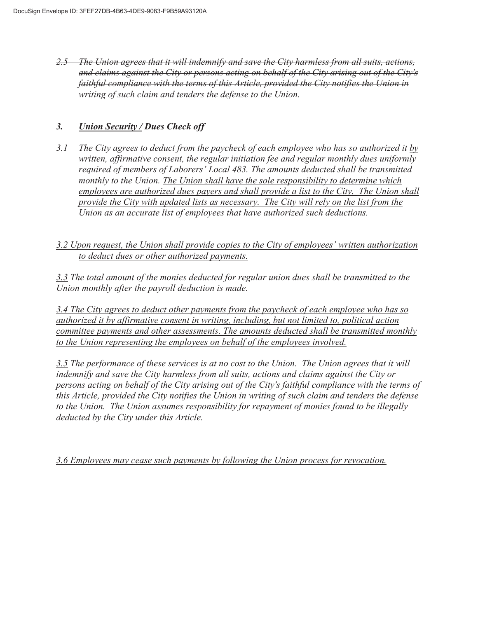*2.5 The Union agrees that it will indemnify and save the City harmless from all suits, actions, and claims against the City or persons acting on behalf of the City arising out of the City's faithful compliance with the terms of this Article, provided the City notifies the Union in writing of such claim and tenders the defense to the Union.* 

#### *3. Union Security / Dues Check off*

*3.1 The City agrees to deduct from the paycheck of each employee who has so authorized it by written, affirmative consent, the regular initiation fee and regular monthly dues uniformly required of members of Laborers' Local 483. The amounts deducted shall be transmitted monthly to the Union. The Union shall have the sole responsibility to determine which employees are authorized dues payers and shall provide a list to the City. The Union shall provide the City with updated lists as necessary. The City will rely on the list from the Union as an accurate list of employees that have authorized such deductions.* 

*3.2 Upon request, the Union shall provide copies to the City of employees' written authorization to deduct dues or other authorized payments.* 

*3.3 The total amount of the monies deducted for regular union dues shall be transmitted to the Union monthly after the payroll deduction is made.* 

*3.4 The City agrees to deduct other payments from the paycheck of each employee who has so authorized it by affirmative consent in writing, including, but not limited to, political action committee payments and other assessments. The amounts deducted shall be transmitted monthly to the Union representing the employees on behalf of the employees involved.* 

*3.5 The performance of these services is at no cost to the Union. The Union agrees that it will indemnify and save the City harmless from all suits, actions and claims against the City or persons acting on behalf of the City arising out of the City's faithful compliance with the terms of this Article, provided the City notifies the Union in writing of such claim and tenders the defense to the Union. The Union assumes responsibility for repayment of monies found to be illegally deducted by the City under this Article.* 

*3.6 Employees may cease such payments by following the Union process for revocation.*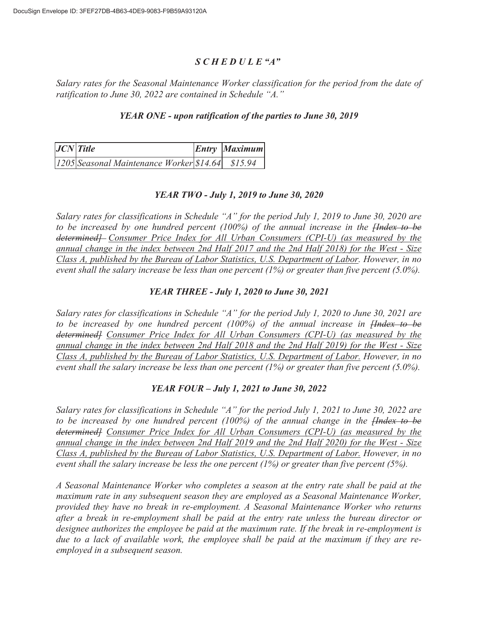#### *S C H E D U L E "A"*

*Salary rates for the Seasonal Maintenance Worker classification for the period from the date of ratification to June 30, 2022 are contained in Schedule "A."* 

#### *YEAR ONE - upon ratification of the parties to June 30, 2019*

| $JCN$ Title |                                                      |  | Entry Maximum |
|-------------|------------------------------------------------------|--|---------------|
|             | [1205] Seasonal Maintenance Worker [\$14.64] \$15.94 |  |               |

### *YEAR TWO - July 1, 2019 to June 30, 2020*

*Salary rates for classifications in Schedule "A" for the period July 1, 2019 to June 30, 2020 are to be increased by one hundred percent (100%) of the annual increase in the [Index to be determined] Consumer Price Index for All Urban Consumers (CPI-U) (as measured by the annual change in the index between 2nd Half 2017 and the 2nd Half 2018) for the West - Size Class A, published by the Bureau of Labor Statistics, U.S. Department of Labor. However, in no event shall the salary increase be less than one percent (1%) or greater than five percent (5.0%).* 

#### *YEAR THREE - July 1, 2020 to June 30, 2021*

*Salary rates for classifications in Schedule "A" for the period July 1, 2020 to June 30, 2021 are to be increased by one hundred percent (100%) of the annual increase in [Index to be determined] Consumer Price Index for All Urban Consumers (CPI-U) (as measured by the annual change in the index between 2nd Half 2018 and the 2nd Half 2019) for the West - Size Class A, published by the Bureau of Labor Statistics, U.S. Department of Labor. However, in no event shall the salary increase be less than one percent (1%) or greater than five percent (5.0%).* 

### *YEAR FOUR – July 1, 2021 to June 30, 2022*

*Salary rates for classifications in Schedule "A" for the period July 1, 2021 to June 30, 2022 are to be increased by one hundred percent (100%) of the annual change in the [Index to be determined] Consumer Price Index for All Urban Consumers (CPI-U) (as measured by the annual change in the index between 2nd Half 2019 and the 2nd Half 2020) for the West - Size Class A, published by the Bureau of Labor Statistics, U.S. Department of Labor. However, in no event shall the salary increase be less the one percent (1%) or greater than five percent (5%).* 

*A Seasonal Maintenance Worker who completes a season at the entry rate shall be paid at the maximum rate in any subsequent season they are employed as a Seasonal Maintenance Worker, provided they have no break in re-employment. A Seasonal Maintenance Worker who returns after a break in re-employment shall be paid at the entry rate unless the bureau director or designee authorizes the employee be paid at the maximum rate. If the break in re-employment is due to a lack of available work, the employee shall be paid at the maximum if they are reemployed in a subsequent season.*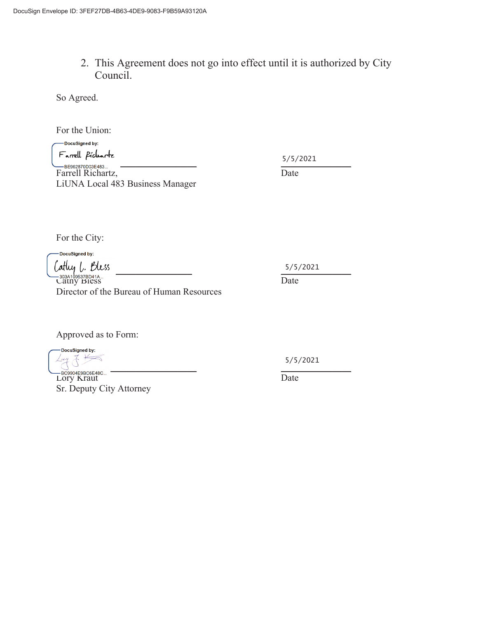2. This Agreement does not go into effect until it is authorized by City Council.

So Agreed.

For the Union:

-DocuSigned by: Farrell Pícluarte<br>— BE962870D03E483...

5/5/2021

Farrell Richartz, Date LiUNA Local 483 Business Manager

For the City:

DocuSigned by: Latluy L. Bless

 $\frac{1}{\sqrt{1-\frac{1}{2}}}\left\{\n\frac{1}{2}\left(1-\frac{1}{2}\right)\right\}$  Date Director of the Bureau of Human Resources

Approved as to Form:

-DocuSigned by:  $\frac{1}{5}$ 

Lory Kraut Date Sr. Deputy City Attorney

5/5/2021

5/5/2021